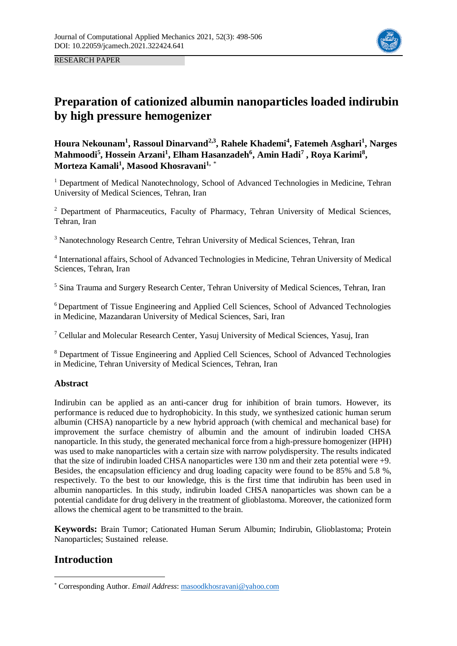

RESEARCH PAPER

# **Preparation of cationized albumin nanoparticles loaded indirubin by high pressure hemogenizer**

**Houra Nekounam<sup>1</sup> , Rassoul Dinarvand2,3, Rahele Khademi<sup>4</sup> , Fatemeh Asghari<sup>1</sup> , Narges Mahmoodi<sup>5</sup> , Hossein Arzani<sup>1</sup> , Elham Hasanzadeh<sup>6</sup> , Amin Hadi<sup>7</sup> , Roya Karimi<sup>8</sup> , Morteza Kamali<sup>1</sup> , Masood Khosravani1,** \*

<sup>1</sup> Department of Medical Nanotechnology, School of Advanced Technologies in Medicine, Tehran University of Medical Sciences, Tehran, Iran

<sup>2</sup> Department of Pharmaceutics, Faculty of Pharmacy, Tehran University of Medical Sciences, Tehran, Iran

<sup>3</sup> Nanotechnology Research Centre, Tehran University of Medical Sciences, Tehran, Iran

<sup>4</sup> International affairs, School of Advanced Technologies in Medicine, Tehran University of Medical Sciences, Tehran, Iran

<sup>5</sup> Sina Trauma and Surgery Research Center, Tehran University of Medical Sciences, Tehran, Iran

<sup>6</sup> Department of Tissue Engineering and Applied Cell Sciences, School of Advanced Technologies in Medicine, Mazandaran University of Medical Sciences, Sari, Iran

<sup>7</sup> Cellular and Molecular Research Center, Yasuj University of Medical Sciences, Yasuj, Iran

<sup>8</sup> Department of Tissue Engineering and Applied Cell Sciences, School of Advanced Technologies in Medicine, Tehran University of Medical Sciences, Tehran, Iran

## **Abstract**

Indirubin can be applied as an anti-cancer drug for inhibition of brain tumors. However, its performance is reduced due to hydrophobicity. In this study, we synthesized cationic human serum albumin (CHSA) nanoparticle by a new hybrid approach (with chemical and mechanical base) for improvement the surface chemistry of albumin and the amount of indirubin loaded CHSA nanoparticle. In this study, the generated mechanical force from a high-pressure homogenizer (HPH) was used to make nanoparticles with a certain size with narrow polydispersity. The results indicated that the size of indirubin loaded CHSA nanoparticles were 130 nm and their zeta potential were +9. Besides, the encapsulation efficiency and drug loading capacity were found to be 85% and 5.8 %, respectively. To the best to our knowledge, this is the first time that indirubin has been used in albumin nanoparticles. In this study, indirubin loaded CHSA nanoparticles was shown can be a potential candidate for drug delivery in the treatment of glioblastoma. Moreover, the cationized form allows the chemical agent to be transmitted to the brain.

**Keywords:** Brain Tumor; Cationated Human Serum Albumin; Indirubin, Glioblastoma; Protein Nanoparticles; Sustained release.

## **Introduction**

1

<sup>\*</sup> Corresponding Author. *Email Address*: masoodkhosravani@yahoo.com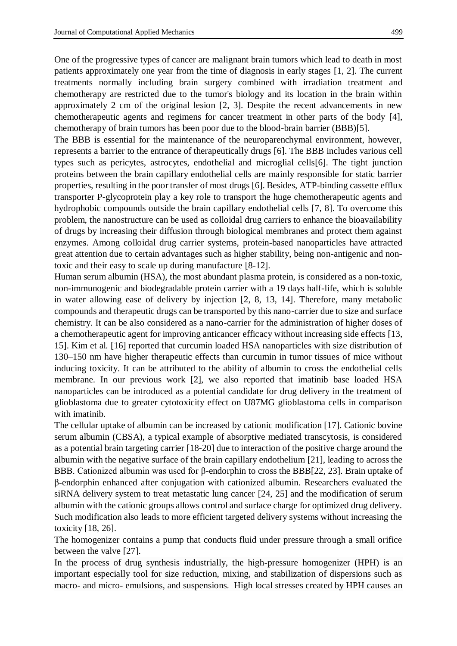One of the progressive types of cancer are malignant brain tumors which lead to death in most patients approximately one year from the time of diagnosis in early stages [1, 2]. The current treatments normally including brain surgery combined with irradiation treatment and chemotherapy are restricted due to the tumor's biology and its location in the brain within approximately 2 cm of the original lesion [2, 3]. Despite the recent advancements in new chemotherapeutic agents and regimens for cancer treatment in other parts of the body [4], chemotherapy of brain tumors has been poor due to the blood-brain barrier (BBB)[5].

The BBB is essential for the maintenance of the neuroparenchymal environment, however, represents a barrier to the entrance of therapeutically drugs [6]. The BBB includes various cell types such as pericytes, astrocytes, endothelial and microglial cells[6]. The tight junction proteins between the brain capillary endothelial cells are mainly responsible for static barrier properties, resulting in the poor transfer of most drugs [6]. Besides, ATP-binding cassette efflux transporter P-glycoprotein play a key role to transport the huge chemotherapeutic agents and hydrophobic compounds outside the brain capillary endothelial cells [7, 8]. To overcome this problem, the nanostructure can be used as colloidal drug carriers to enhance the bioavailability of drugs by increasing their diffusion through biological membranes and protect them against enzymes. Among colloidal drug carrier systems, protein-based nanoparticles have attracted great attention due to certain advantages such as higher stability, being non-antigenic and nontoxic and their easy to scale up during manufacture [8-12].

Human serum albumin (HSA), the most abundant plasma protein, is considered as a non-toxic, non-immunogenic and biodegradable protein carrier with a 19 days half-life, which is soluble in water allowing ease of delivery by injection [2, 8, 13, 14]. Therefore, many metabolic compounds and therapeutic drugs can be transported by this nano-carrier due to size and surface chemistry. It can be also considered as a nano-carrier for the administration of higher doses of a chemotherapeutic agent for improving anticancer efficacy without increasing side effects [13, 15]. Kim et al. [16] reported that curcumin loaded HSA nanoparticles with size distribution of 130–150 nm have higher therapeutic effects than curcumin in tumor tissues of mice without inducing toxicity. It can be attributed to the ability of albumin to cross the endothelial cells membrane. In our previous work [2], we also reported that imatinib base loaded HSA nanoparticles can be introduced as a potential candidate for drug delivery in the treatment of glioblastoma due to greater cytotoxicity effect on U87MG glioblastoma cells in comparison with imatinib.

The cellular uptake of albumin can be increased by cationic modification [17]. Cationic bovine serum albumin (CBSA), a typical example of absorptive mediated transcytosis, is considered as a potential brain targeting carrier [18-20] due to interaction of the positive charge around the albumin with the negative surface of the brain capillary endothelium [21], leading to across the BBB. Cationized albumin was used for β-endorphin to cross the BBB[22, 23]. Brain uptake of β-endorphin enhanced after conjugation with cationized albumin. Researchers evaluated the siRNA delivery system to treat metastatic lung cancer [24, 25] and the modification of serum albumin with the cationic groups allows control and surface charge for optimized drug delivery. Such modification also leads to more efficient targeted delivery systems without increasing the toxicity [18, 26].

The homogenizer contains a pump that conducts fluid under pressure through a small orifice between the valve [27].

In the process of drug synthesis industrially, the high-pressure homogenizer (HPH) is an important especially tool for size reduction, mixing, and stabilization of dispersions such as macro- and micro- emulsions, and suspensions. High local stresses created by HPH causes an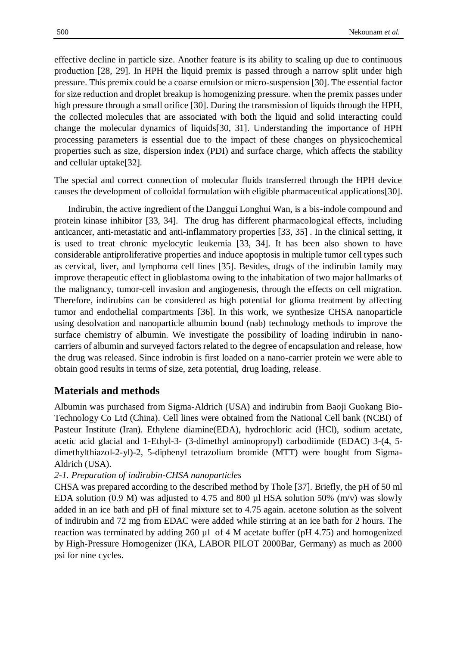effective decline in particle size. Another feature is its ability to scaling up due to continuous production [28, 29]. In HPH the liquid premix is passed through a narrow split under high pressure. This premix could be a coarse emulsion or micro-suspension [30]. The essential factor for size reduction and droplet breakup is homogenizing pressure. when the premix passes under high pressure through a small orifice [30]. During the transmission of liquids through the HPH, the collected molecules that are associated with both the liquid and solid interacting could change the molecular dynamics of liquids[30, 31]. Understanding the importance of HPH processing parameters is essential due to the impact of these changes on physicochemical properties such as size, dispersion index (PDI) and surface charge, which affects the stability and cellular uptake[32].

The special and correct connection of molecular fluids transferred through the HPH device causes the development of colloidal formulation with eligible pharmaceutical applications[30].

Indirubin, the active ingredient of the Danggui Longhui Wan, is a bis-indole compound and protein kinase inhibitor [33, 34]. The drug has different pharmacological effects, including anticancer, anti-metastatic and anti-inflammatory properties [33, 35] . In the clinical setting, it is used to treat chronic myelocytic leukemia [33, 34]. It has been also shown to have considerable antiproliferative properties and induce apoptosis in multiple tumor cell types such as cervical, liver, and lymphoma cell lines [35]. Besides, drugs of the indirubin family may improve therapeutic effect in glioblastoma owing to the inhabitation of two major hallmarks of the malignancy, tumor-cell invasion and angiogenesis, through the effects on cell migration. Therefore, indirubins can be considered as high potential for glioma treatment by affecting tumor and endothelial compartments [36]. In this work, we synthesize CHSA nanoparticle using desolvation and nanoparticle albumin bound (nab) technology methods to improve the surface chemistry of albumin. We investigate the possibility of loading indirubin in nanocarriers of albumin and surveyed factors related to the degree of encapsulation and release, how the drug was released. Since indrobin is first loaded on a nano-carrier protein we were able to obtain good results in terms of size, zeta potential, drug loading, release.

## **Materials and methods**

Albumin was purchased from Sigma-Aldrich (USA) and indirubin from Baoji Guokang Bio-Technology Co Ltd (China). Cell lines were obtained from the National Cell bank (NCBI) of Pasteur Institute (Iran). Ethylene diamine(EDA), hydrochloric acid (HCl), sodium acetate, acetic acid glacial and 1-Ethyl-3- (3-dimethyl aminopropyl) carbodiimide (EDAC) 3-(4, 5 dimethylthiazol-2-yl)-2, 5-diphenyl tetrazolium bromide (MTT) were bought from Sigma-Aldrich (USA).

## *2-1. Preparation of indirubin-CHSA nanoparticles*

CHSA was prepared according to the described method by Thole [37]. Briefly, the pH of 50 ml EDA solution (0.9 M) was adjusted to 4.75 and 800  $\mu$ l HSA solution 50% (m/v) was slowly added in an ice bath and pH of final mixture set to 4.75 again. acetone solution as the solvent of indirubin and 72 mg from EDAC were added while stirring at an ice bath for 2 hours. The reaction was terminated by adding 260 µl of 4 M acetate buffer (pH 4.75) and homogenized by High-Pressure Homogenizer (IKA, LABOR PILOT 2000Bar, Germany) as much as 2000 psi for nine cycles.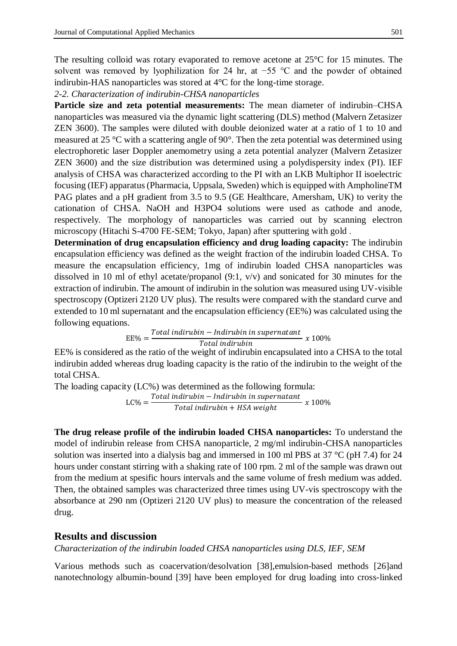The resulting colloid was rotary evaporated to remove acetone at 25°C for 15 minutes. The solvent was removed by lyophilization for 24 hr, at −55 °C and the powder of obtained indirubin-HAS nanoparticles was stored at 4°C for the long-time storage.

*2-2. Characterization of indirubin-CHSA nanoparticles*

**Particle size and zeta potential measurements:** The mean diameter of indirubin–CHSA nanoparticles was measured via the dynamic light scattering (DLS) method (Malvern Zetasizer ZEN 3600). The samples were diluted with double deionized water at a ratio of 1 to 10 and measured at 25 °C with a scattering angle of 90°. Then the zeta potential was determined using electrophoretic laser Doppler anemometry using a zeta potential analyzer (Malvern Zetasizer ZEN 3600) and the size distribution was determined using a polydispersity index (PI). IEF analysis of CHSA was characterized according to the PI with an LKB Multiphor II isoelectric focusing (IEF) apparatus (Pharmacia, Uppsala, Sweden) which is equipped with AmpholineTM PAG plates and a pH gradient from 3.5 to 9.5 (GE Healthcare, Amersham, UK) to verity the cationation of CHSA. NaOH and H3PO4 solutions were used as cathode and anode, respectively. The morphology of nanoparticles was carried out by scanning electron microscopy (Hitachi S-4700 FE-SEM; Tokyo, Japan) after sputtering with gold .

**Determination of drug encapsulation efficiency and drug loading capacity:** The indirubin encapsulation efficiency was defined as the weight fraction of the indirubin loaded CHSA. To measure the encapsulation efficiency, 1mg of indirubin loaded CHSA nanoparticles was dissolved in 10 ml of ethyl acetate/propanol (9:1, v/v) and sonicated for 30 minutes for the extraction of indirubin. The amount of indirubin in the solution was measured using UV-visible spectroscopy (Optizeri 2120 UV plus). The results were compared with the standard curve and extended to 10 ml supernatant and the encapsulation efficiency (EE%) was calculated using the following equations.

> $EE% =$  $\frac{Total\,in$  indirubin – Indirubin in supernatant<br> $Total\,in$  x 100%

EE% is considered as the ratio of the weight of indirubin encapsulated into a CHSA to the total indirubin added whereas drug loading capacity is the ratio of the indirubin to the weight of the total CHSA.

The loading capacity (LC%) was determined as the following formula:  $LC\% = \frac{Total indirubin - Indirubin \text{ in supernatant}}{T + L}$  $\frac{m}{\pi}$   $\frac{m}{\pi}$   $\frac{m}{\pi}$   $\frac{n}{\pi}$   $\frac{m}{\pi}$   $\frac{n}{\pi}$   $\frac{m}{\pi}$   $\frac{n}{\pi}$   $\frac{n}{\pi}$   $\frac{n}{\pi}$   $\frac{n}{\pi}$   $\frac{n}{\pi}$   $\frac{n}{\pi}$   $\frac{n}{\pi}$   $\frac{n}{\pi}$   $\frac{n}{\pi}$   $\frac{n}{\pi}$   $\frac{n}{\pi}$   $\frac{n}{\pi}$   $\frac{n}{\pi}$   $\frac{n}{\pi}$   $\frac{n}{\$ 

**The drug release profile of the indirubin loaded CHSA nanoparticles:** To understand the model of indirubin release from CHSA nanoparticle, 2 mg/ml indirubin-CHSA nanoparticles solution was inserted into a dialysis bag and immersed in 100 ml PBS at 37  $\degree$ C (pH 7.4) for 24 hours under constant stirring with a shaking rate of 100 rpm. 2 ml of the sample was drawn out from the medium at spesific hours intervals and the same volume of fresh medium was added. Then, the obtained samples was characterized three times using UV-vis spectroscopy with the absorbance at 290 nm (Optizeri 2120 UV plus) to measure the concentration of the released drug.

## **Results and discussion**

*Characterization of the indirubin loaded CHSA nanoparticles using DLS, IEF, SEM*

Various methods such as coacervation/desolvation [38],emulsion-based methods [26]and nanotechnology albumin-bound [39] have been employed for drug loading into cross-linked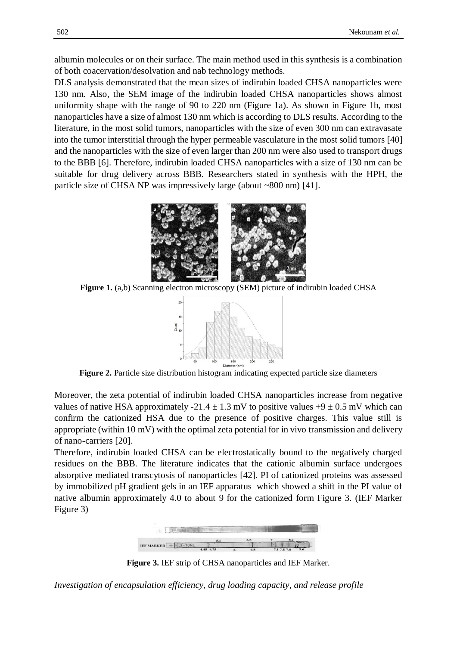albumin molecules or on their surface. The main method used in this synthesis is a combination of both coacervation/desolvation and nab technology methods.

DLS analysis demonstrated that the mean sizes of indirubin loaded CHSA nanoparticles were 130 nm. Also, the SEM image of the indirubin loaded CHSA nanoparticles shows almost uniformity shape with the range of 90 to 220 nm (Figure 1a). As shown in Figure 1b, most nanoparticles have a size of almost 130 nm which is according to DLS results. According to the literature, in the most solid tumors, nanoparticles with the size of even 300 nm can extravasate into the tumor interstitial through the hyper permeable vasculature in the most solid tumors [40] and the nanoparticles with the size of even larger than 200 nm were also used to transport drugs to the BBB [6]. Therefore, indirubin loaded CHSA nanoparticles with a size of 130 nm can be suitable for drug delivery across BBB. Researchers stated in synthesis with the HPH, the particle size of CHSA NP was impressively large (about ~800 nm) [41].



**Figure 1.** (a,b) Scanning electron microscopy (SEM) picture of indirubin loaded CHSA



**Figure 2.** Particle size distribution histogram indicating expected particle size diameters

Moreover, the zeta potential of indirubin loaded CHSA nanoparticles increase from negative values of native HSA approximately  $-21.4 \pm 1.3$  mV to positive values  $+9 \pm 0.5$  mV which can confirm the cationized HSA due to the presence of positive charges. This value still is appropriate (within 10 mV) with the optimal zeta potential for in vivo transmission and delivery of nano-carriers [20].

Therefore, indirubin loaded CHSA can be electrostatically bound to the negatively charged residues on the BBB. The literature indicates that the cationic albumin surface undergoes absorptive mediated transcytosis of nanoparticles [42]. PI of cationized proteins was assessed by immobilized pH gradient gels in an IEF apparatus which showed a shift in the PI value of native albumin approximately 4.0 to about 9 for the cationized form Figure 3. (IEF Marker Figure 3)



**Figure 3.** IEF strip of CHSA nanoparticles and IEF Marker.

*Investigation of encapsulation efficiency, drug loading capacity, and release profile*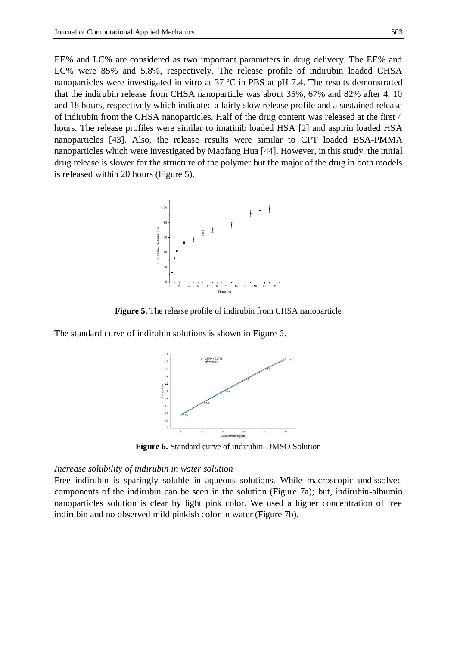EE% and LC% are considered as two important parameters in drug delivery. The EE% and LC% were 85% and 5.8%, respectively. The release profile of indirubin loaded CHSA nanoparticles were investigated in vitro at 37 ºC in PBS at pH 7.4. The results demonstrated that the indirubin release from CHSA nanoparticle was about 35%, 67% and 82% after 4, 10 and 18 hours, respectively which indicated a fairly slow release profile and a sustained release of indirubin from the CHSA nanoparticles. Half of the drug content was released at the first 4 hours. The release profiles were similar to imatinib loaded HSA [2] and aspirin loaded HSA nanoparticles [43]. Also, the release results were similar to CPT loaded BSA-PMMA nanoparticles which were investigated by Maofang Hua [44]. However, in this study, the initial drug release is slower for the structure of the polymer but the major of the drug in both models is released within 20 hours (Figure 5).



**Figure 5.** The release profile of indirubin from CHSA nanoparticle

The standard curve of indirubin solutions is shown in Figure 6.



**Figure 6.** Standard curve of indirubin-DMSO Solution

#### *Increase solubility of indirubin in water solution*

Free indirubin is sparingly soluble in aqueous solutions. While macroscopic undissolved components of the indirubin can be seen in the solution (Figure 7a); but, indirubin-albumin nanoparticles solution is clear by light pink color. We used a higher concentration of free indirubin and no observed mild pinkish color in water (Figure 7b).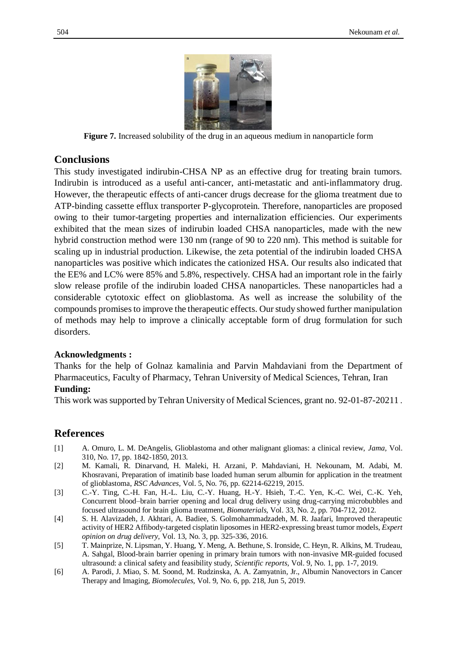

**Figure 7.** Increased solubility of the drug in an aqueous medium in nanoparticle form

## **Conclusions**

This study investigated indirubin-CHSA NP as an effective drug for treating brain tumors. Indirubin is introduced as a useful anti-cancer, anti-metastatic and anti-inflammatory drug. However, the therapeutic effects of anti-cancer drugs decrease for the glioma treatment due to ATP-binding cassette efflux transporter P-glycoprotein. Therefore, nanoparticles are proposed owing to their tumor-targeting properties and internalization efficiencies. Our experiments exhibited that the mean sizes of indirubin loaded CHSA nanoparticles, made with the new hybrid construction method were 130 nm (range of 90 to 220 nm). This method is suitable for scaling up in industrial production. Likewise, the zeta potential of the indirubin loaded CHSA nanoparticles was positive which indicates the cationized HSA. Our results also indicated that the EE% and LC% were 85% and 5.8%, respectively. CHSA had an important role in the fairly slow release profile of the indirubin loaded CHSA nanoparticles. These nanoparticles had a considerable cytotoxic effect on glioblastoma. As well as increase the solubility of the compounds promises to improve the therapeutic effects. Our study showed further manipulation of methods may help to improve a clinically acceptable form of drug formulation for such disorders.

#### **Acknowledgments :**

Thanks for the help of Golnaz kamalinia and Parvin Mahdaviani from the Department of Pharmaceutics, Faculty of Pharmacy, Tehran University of Medical Sciences, Tehran, Iran

### **Funding:**

This work was supported by Tehran University of Medical Sciences, grant no. 92-01-87-20211 .

## **References**

- [1] A. Omuro, L. M. DeAngelis, Glioblastoma and other malignant gliomas: a clinical review, *Jama,* Vol. 310, No. 17, pp. 1842-1850, 2013.
- [2] M. Kamali, R. Dinarvand, H. Maleki, H. Arzani, P. Mahdaviani, H. Nekounam, M. Adabi, M. Khosravani, Preparation of imatinib base loaded human serum albumin for application in the treatment of glioblastoma, *RSC Advances,* Vol. 5, No. 76, pp. 62214-62219, 2015.
- [3] C.-Y. Ting, C.-H. Fan, H.-L. Liu, C.-Y. Huang, H.-Y. Hsieh, T.-C. Yen, K.-C. Wei, C.-K. Yeh, Concurrent blood–brain barrier opening and local drug delivery using drug-carrying microbubbles and focused ultrasound for brain glioma treatment, *Biomaterials,* Vol. 33, No. 2, pp. 704-712, 2012.
- [4] S. H. Alavizadeh, J. Akhtari, A. Badiee, S. Golmohammadzadeh, M. R. Jaafari, Improved therapeutic activity of HER2 Affibody-targeted cisplatin liposomes in HER2-expressing breast tumor models, *Expert opinion on drug delivery,* Vol. 13, No. 3, pp. 325-336, 2016.
- [5] T. Mainprize, N. Lipsman, Y. Huang, Y. Meng, A. Bethune, S. Ironside, C. Heyn, R. Alkins, M. Trudeau, A. Sahgal, Blood-brain barrier opening in primary brain tumors with non-invasive MR-guided focused ultrasound: a clinical safety and feasibility study, *Scientific reports,* Vol. 9, No. 1, pp. 1-7, 2019.
- [6] A. Parodi, J. Miao, S. M. Soond, M. Rudzinska, A. A. Zamyatnin, Jr., Albumin Nanovectors in Cancer Therapy and Imaging, *Biomolecules,* Vol. 9, No. 6, pp. 218, Jun 5, 2019.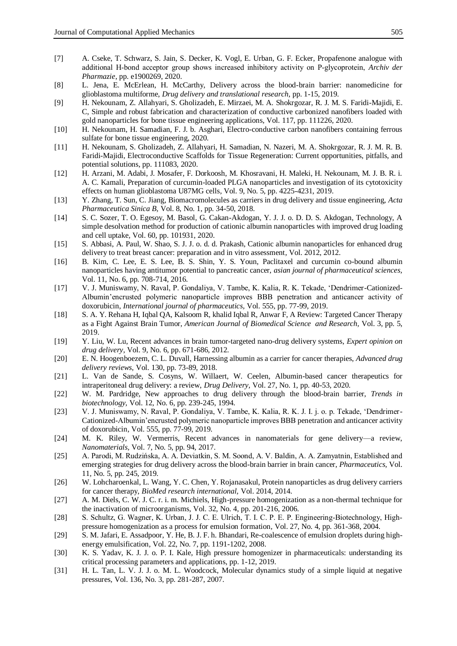- [7] A. Cseke, T. Schwarz, S. Jain, S. Decker, K. Vogl, E. Urban, G. F. Ecker, Propafenone analogue with additional H‐bond acceptor group shows increased inhibitory activity on P‐glycoprotein, *Archiv der Pharmazie*, pp. e1900269, 2020.
- [8] L. Jena, E. McErlean, H. McCarthy, Delivery across the blood-brain barrier: nanomedicine for glioblastoma multiforme, *Drug delivery and translational research*, pp. 1-15, 2019.
- [9] H. Nekounam, Z. Allahyari, S. Gholizadeh, E. Mirzaei, M. A. Shokrgozar, R. J. M. S. Faridi-Majidi, E. C, Simple and robust fabrication and characterization of conductive carbonized nanofibers loaded with gold nanoparticles for bone tissue engineering applications*,* Vol. 117, pp. 111226, 2020.
- [10] H. Nekounam, H. Samadian, F. J. b. Asghari, Electro-conductive carbon nanofibers containing ferrous sulfate for bone tissue engineering, 2020.
- [11] H. Nekounam, S. Gholizadeh, Z. Allahyari, H. Samadian, N. Nazeri, M. A. Shokrgozar, R. J. M. R. B. Faridi-Majidi, Electroconductive Scaffolds for Tissue Regeneration: Current opportunities, pitfalls, and potential solutions, pp. 111083, 2020.
- [12] H. Arzani, M. Adabi, J. Mosafer, F. Dorkoosh, M. Khosravani, H. Maleki, H. Nekounam, M. J. B. R. i. A. C. Kamali, Preparation of curcumin-loaded PLGA nanoparticles and investigation of its cytotoxicity effects on human glioblastoma U87MG cells*,* Vol. 9, No. 5, pp. 4225-4231, 2019.
- [13] Y. Zhang, T. Sun, C. Jiang, Biomacromolecules as carriers in drug delivery and tissue engineering, *Acta Pharmaceutica Sinica B,* Vol. 8, No. 1, pp. 34-50, 2018.
- [14] S. C. Sozer, T. O. Egesoy, M. Basol, G. Cakan-Akdogan, Y. J. J. o. D. D. S. Akdogan, Technology, A simple desolvation method for production of cationic albumin nanoparticles with improved drug loading and cell uptake*,* Vol. 60, pp. 101931, 2020.
- [15] S. Abbasi, A. Paul, W. Shao, S. J. J. o. d. d. Prakash, Cationic albumin nanoparticles for enhanced drug delivery to treat breast cancer: preparation and in vitro assessment*,* Vol. 2012, 2012.
- [16] B. Kim, C. Lee, E. S. Lee, B. S. Shin, Y. S. Youn, Paclitaxel and curcumin co-bound albumin nanoparticles having antitumor potential to pancreatic cancer, *asian journal of pharmaceutical sciences,* Vol. 11, No. 6, pp. 708-714, 2016.
- [17] V. J. Muniswamy, N. Raval, P. Gondaliya, V. Tambe, K. Kalia, R. K. Tekade, 'Dendrimer-Cationized-Albumin'encrusted polymeric nanoparticle improves BBB penetration and anticancer activity of doxorubicin, *International journal of pharmaceutics,* Vol. 555, pp. 77-99, 2019.
- [18] S. A. Y. Rehana H, Iqbal QA, Kalsoom R, khalid Iqbal R, Anwar F, A Review: Targeted Cancer Therapy as a Fight Against Brain Tumor, *American Journal of Biomedical Science and Research,* Vol. 3, pp. 5, 2019.
- [19] Y. Liu, W. Lu, Recent advances in brain tumor-targeted nano-drug delivery systems, *Expert opinion on drug delivery,* Vol. 9, No. 6, pp. 671-686, 2012.
- [20] E. N. Hoogenboezem, C. L. Duvall, Harnessing albumin as a carrier for cancer therapies, *Advanced drug delivery reviews,* Vol. 130, pp. 73-89, 2018.
- [21] L. Van de Sande, S. Cosyns, W. Willaert, W. Ceelen, Albumin-based cancer therapeutics for intraperitoneal drug delivery: a review, *Drug Delivery,* Vol. 27, No. 1, pp. 40-53, 2020.
- [22] W. M. Pardridge, New approaches to drug delivery through the blood-brain barrier, *Trends in biotechnology,* Vol. 12, No. 6, pp. 239-245, 1994.
- [23] V. J. Muniswamy, N. Raval, P. Gondaliya, V. Tambe, K. Kalia, R. K. J. I. j. o. p. Tekade, 'Dendrimer-Cationized-Albumin'encrusted polymeric nanoparticle improves BBB penetration and anticancer activity of doxorubicin*,* Vol. 555, pp. 77-99, 2019.
- [24] M. K. Riley, W. Vermerris, Recent advances in nanomaterials for gene delivery—a review, *Nanomaterials,* Vol. 7, No. 5, pp. 94, 2017.
- [25] A. Parodi, M. Rudzińska, A. A. Deviatkin, S. M. Soond, A. V. Baldin, A. A. Zamyatnin, Established and emerging strategies for drug delivery across the blood-brain barrier in brain cancer, *Pharmaceutics,* Vol. 11, No. 5, pp. 245, 2019.
- [26] W. Lohcharoenkal, L. Wang, Y. C. Chen, Y. Rojanasakul, Protein nanoparticles as drug delivery carriers for cancer therapy, *BioMed research international,* Vol. 2014, 2014.
- [27] A. M. Diels, C. W. J. C. r. i. m. Michiels, High-pressure homogenization as a non-thermal technique for the inactivation of microorganisms*,* Vol. 32, No. 4, pp. 201-216, 2006.
- [28] S. Schultz, G. Wagner, K. Urban, J. J. C. E. Ulrich, T. I. C. P. E. P. Engineering-Biotechnology, Highpressure homogenization as a process for emulsion formation*,* Vol. 27, No. 4, pp. 361-368, 2004.
- [29] S. M. Jafari, E. Assadpoor, Y. He, B. J. F. h. Bhandari, Re-coalescence of emulsion droplets during highenergy emulsification*,* Vol. 22, No. 7, pp. 1191-1202, 2008.
- [30] K. S. Yadav, K. J. J. o. P. I. Kale, High pressure homogenizer in pharmaceuticals: understanding its critical processing parameters and applications, pp. 1-12, 2019.
- [31] H. L. Tan, L. V. J. J. o. M. L. Woodcock, Molecular dynamics study of a simple liquid at negative pressures*,* Vol. 136, No. 3, pp. 281-287, 2007.